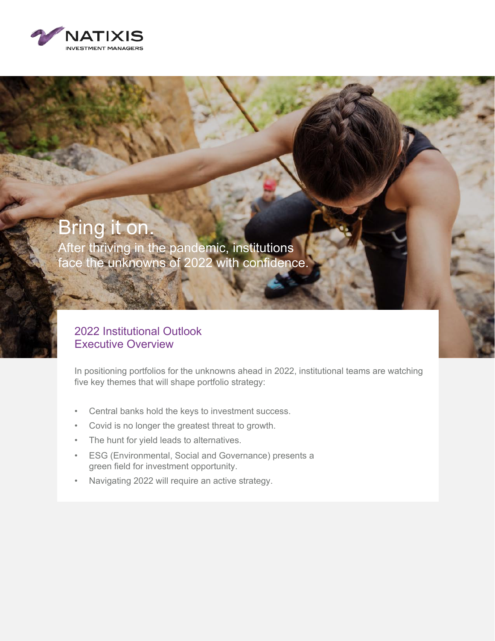

# Bring it on.

After thriving in the pandemic, institutions face the unknowns of 2022 with confidence.

#### 2022 Institutional Outlook Executive Overview

In positioning portfolios for the unknowns ahead in 2022, institutional teams are watching five key themes that will shape portfolio strategy:

- Central banks hold the keys to investment success.
- Covid is no longer the greatest threat to growth.
- The hunt for yield leads to alternatives.
- ESG (Environmental, Social and Governance) presents a green field for investment opportunity.
- Navigating 2022 will require an active strategy.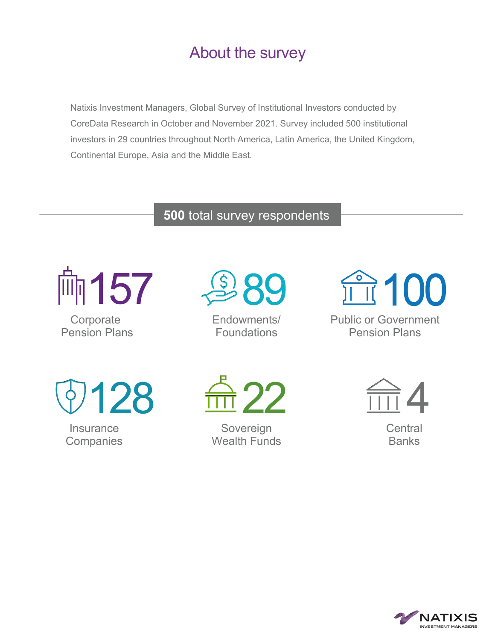### About the survey

Natixis Investment Managers, Global Survey of Institutional Investors conducted by CoreData Research in October and November 2021. Survey included 500 institutional investors in 29 countries throughout North America, Latin America, the United Kingdom, Continental Europe, Asia and the Middle East.

#### **500** total survey respondents



**Corporate** Pension Plans



Endowments/ Foundations

T100

Public or Government Pension Plans

128

#### **Insurance Companies**



Sovereign Wealth Funds



**Central Banks** 

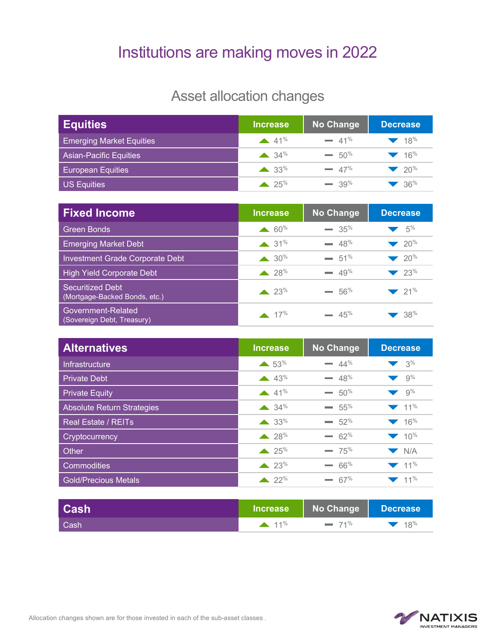### Institutions are making moves in 2022

#### Asset allocation changes

| <b>Equities</b>                 | <b>Increase</b>             | <b>No Change</b> | <b>Decrease</b>                      |
|---------------------------------|-----------------------------|------------------|--------------------------------------|
| <b>Emerging Market Equities</b> | 41%                         | $= 41%$          | $\blacktriangledown$ 18%             |
| <b>Asian-Pacific Equities</b>   | $\triangle$ 34 <sup>%</sup> | $= 50\%$         | $\blacktriangledown$ 16 <sup>%</sup> |
| <b>European Equities</b>        | $\triangle$ 33%             | $= 47%$          | $\blacktriangledown$ 20%             |
| <b>US Equities</b>              | $\triangle$ 25%             | $-39\%$          | $-36\%$                              |

| <b>Fixed Income</b>                               | <b>Increase</b>  | <b>No Change</b> | <b>Decrease</b>          |
|---------------------------------------------------|------------------|------------------|--------------------------|
| <b>Green Bonds</b>                                | $60\%$           | $\equiv 35\%$    | 5%                       |
| <b>Emerging Market Debt</b>                       | $31\%$           | $= 48%$          | $20\%$                   |
| Investment Grade Corporate Debt                   | $\triangle 30\%$ | $= 51\%$         | $20\%$                   |
| <b>High Yield Corporate Debt</b>                  | $\triangle 28\%$ | $-49%$           | 23%                      |
| Securitized Debt<br>(Mortgage-Backed Bonds, etc.) | 23%              | $-56%$           | $\blacktriangledown$ 21% |
| Government-Related<br>(Sovereign Debt, Treasury)  | $\triangle$ 17%  | $-45%$           | 38%                      |

| <b>Alternatives</b>               | <b>Increase</b>             | No Change | <b>Decrease</b>                      |
|-----------------------------------|-----------------------------|-----------|--------------------------------------|
| Infrastructure                    | $\triangle$ 53%             | $= 44\%$  | 3%                                   |
| <b>Private Debt</b>               | 43%                         | $= 48%$   | 9%                                   |
| <b>Private Equity</b>             | 41%                         | $= 50\%$  | $\blacktriangledown$ 9%              |
| <b>Absolute Return Strategies</b> | $\triangle$ 34%             | $= 55\%$  | $\blacktriangledown$ 11%             |
| <b>Real Estate / REITs</b>        | $\triangle$ 33%             | $= 52%$   | 16%                                  |
| Cryptocurrency                    | $\triangle$ 28%             | $- 62%$   | $\blacktriangledown$ 10 <sup>%</sup> |
| Other                             | $\triangle$ 25%             | $-75%$    | N/A                                  |
| <b>Commodities</b>                | $\triangle$ 23 <sup>%</sup> | $-66%$    | $\blacktriangledown$ 11%             |
| <b>Gold/Precious Metals</b>       | $\triangle$ 22 <sup>%</sup> | $= 67\%$  | $\blacktriangledown$ 11%             |

| <b>Cash</b> | <b>Mincrease</b> | No Change   Decrease |               |
|-------------|------------------|----------------------|---------------|
| Cash        | $11\%$           | $= 71\%$             | $\sqrt{18\%}$ |

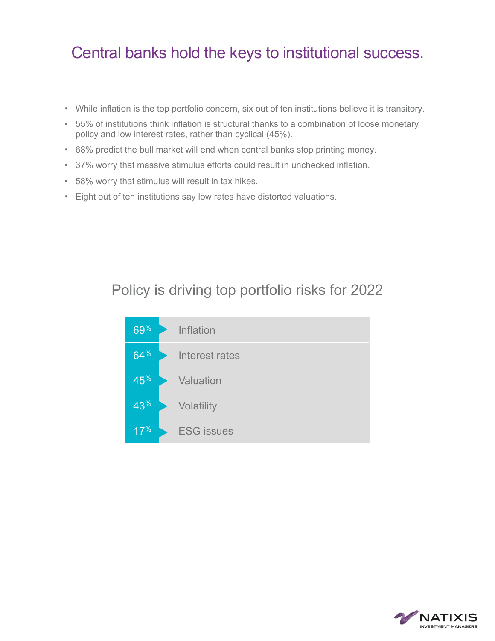#### Central banks hold the keys to institutional success.

- While inflation is the top portfolio concern, six out of ten institutions believe it is transitory.
- 55% of institutions think inflation is structural thanks to a combination of loose monetary policy and low interest rates, rather than cyclical (45%).
- 68% predict the bull market will end when central banks stop printing money.
- 37% worry that massive stimulus efforts could result in unchecked inflation.
- 58% worry that stimulus will result in tax hikes.
- Eight out of ten institutions say low rates have distorted valuations.

#### Policy is driving top portfolio risks for 2022



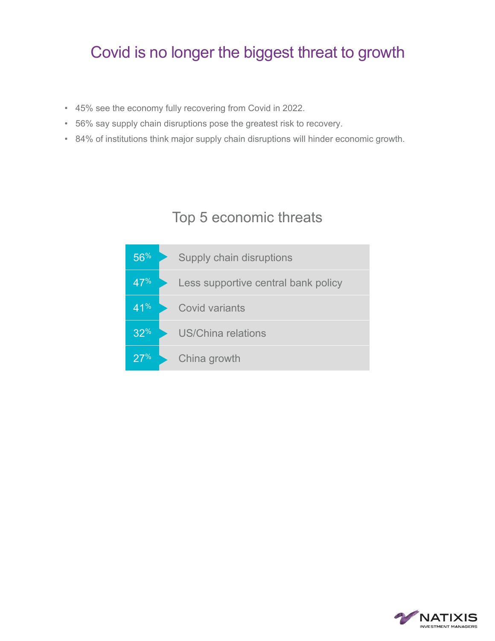#### Covid is no longer the biggest threat to growth

- 45% see the economy fully recovering from Covid in 2022.
- 56% say supply chain disruptions pose the greatest risk to recovery.
- 84% of institutions think major supply chain disruptions will hinder economic growth.

#### Top 5 economic threats



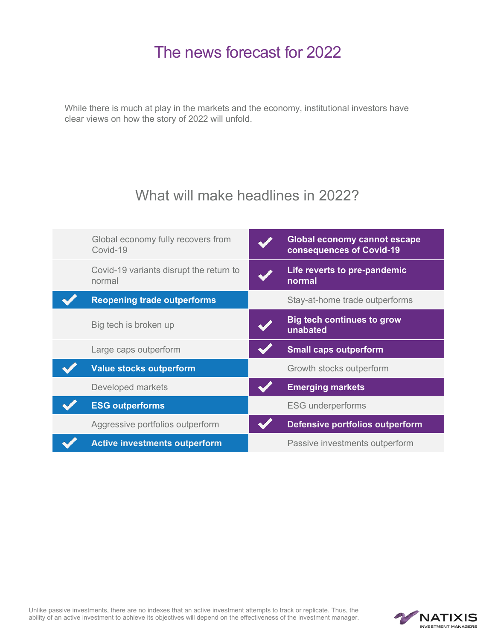#### The news forecast for 2022

While there is much at play in the markets and the economy, institutional investors have clear views on how the story of 2022 will unfold.

#### What will make headlines in 2022?



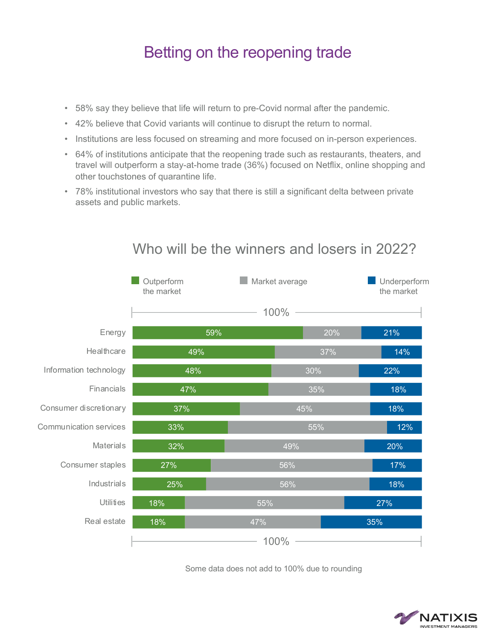#### Betting on the reopening trade

- 58% say they believe that life will return to pre-Covid normal after the pandemic.
- 42% believe that Covid variants will continue to disrupt the return to normal.
- Institutions are less focused on streaming and more focused on in-person experiences.
- 64% of institutions anticipate that the reopening trade such as restaurants, theaters, and travel will outperform a stay-at-home trade (36%) focused on Netflix, online shopping and other touchstones of quarantine life.
- 78% institutional investors who say that there is still a significant delta between private assets and public markets.

|                               | Outperform<br>the market | Market average |     | Underperform<br>the market |
|-------------------------------|--------------------------|----------------|-----|----------------------------|
|                               |                          | 100%           |     |                            |
| Energy                        | 59%                      |                | 20% | 21%                        |
| Healthcare                    | 49%                      |                | 37% | 14%                        |
| Information technology        | 48%                      |                | 30% | 22%                        |
| Financials                    | 47%                      |                | 35% | 18%                        |
| Consumer discretionary        | 37%                      |                | 45% | 18%                        |
| <b>Communication services</b> | 33%                      |                | 55% | 12%                        |
| Materials                     | 32%                      |                | 49% | 20%                        |
| Consumer staples              | 27%                      |                | 56% | 17%                        |
| Industrials                   | 25%                      |                | 56% | 18%                        |
| Utilities                     | 18%                      | 55%            |     | 27%                        |
| Real estate                   | 18%                      | 47%            |     | 35%                        |
|                               |                          | 100%           |     |                            |

#### Who will be the winners and losers in 2022?

Some data does not add to 100% due to rounding

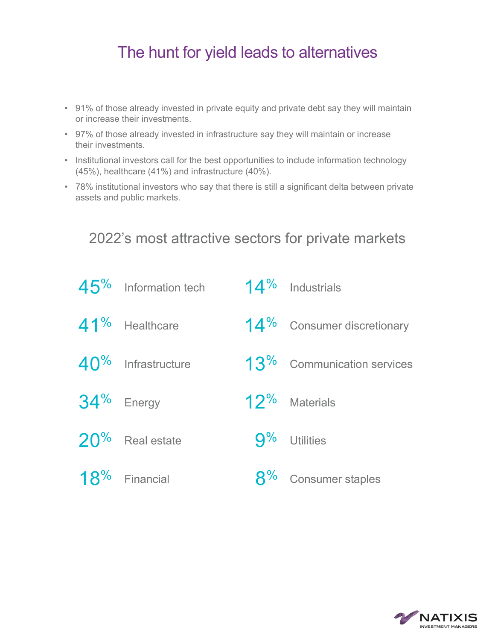#### The hunt for yield leads to alternatives

- 91% of those already invested in private equity and private debt say they will maintain or increase their investments.
- 97% of those already invested in infrastructure say they will maintain or increase their investments.
- Institutional investors call for the best opportunities to include information technology (45%), healthcare (41%) and infrastructure (40%).
- 78% institutional investors who say that there is still a significant delta between private assets and public markets.

2022's most attractive sectors for private markets

| $45\%$ Information tech | 14% Industrials               |
|-------------------------|-------------------------------|
| 41% Healthcare          | 14% Consumer discretionary    |
| $40\%$ Infrastructure   | $13\%$ Communication services |
| $34\%$ Energy           | 12% Materials                 |
| $20\%$ Real estate      | $9%$ Utilities                |
| $18\%$ Financial        | 8% Consumer staples           |

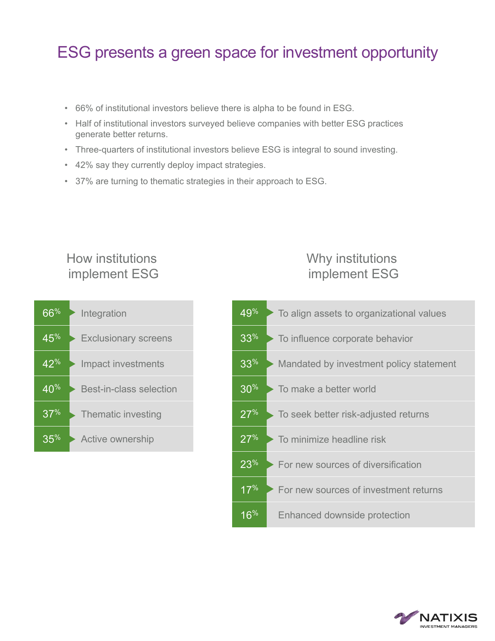#### ESG presents a green space for investment opportunity

- 66% of institutional investors believe there is alpha to be found in ESG.
- Half of institutional investors surveyed believe companies with better ESG practices generate better returns.
- Three-quarters of institutional investors believe ESG is integral to sound investing.
- 42% say they currently deploy impact strategies.
- 37% are turning to thematic strategies in their approach to ESG.

# 66% Integration 45<sup>%</sup> Exclusionary screens 42<sup>%</sup> Impact investments implement ESG

How institutions

# 40% Best-in-class selection 37<sup>%</sup> Thematic investing 35% Active ownership

#### Why institutions implement ESG



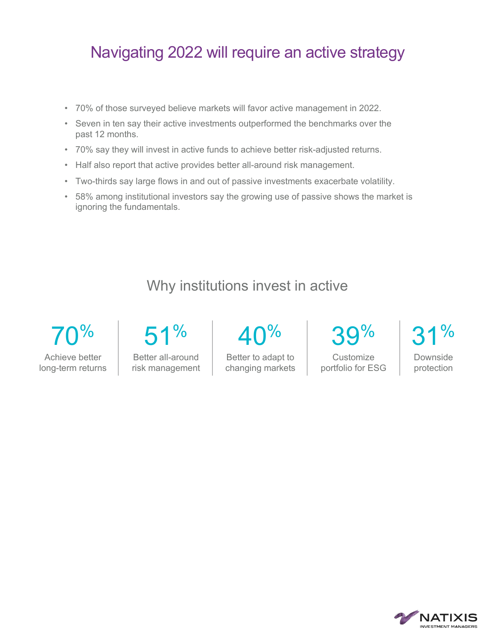#### Navigating 2022 will require an active strategy

- 70% of those surveyed believe markets will favor active management in 2022.
- Seven in ten say their active investments outperformed the benchmarks over the past 12 months.
- 70% say they will invest in active funds to achieve better risk-adjusted returns.
- Half also report that active provides better all-around risk management.
- Two-thirds say large flows in and out of passive investments exacerbate volatility.
- 58% among institutional investors say the growing use of passive shows the market is ignoring the fundamentals.

#### Why institutions invest in active

 $\%$ Achieve better long-term returns 51%

Better all-around risk management  $\Lambda$ N%

Better to adapt to changing markets

 $\%$ **Customize** 

portfolio for ESG

 $\frac{1}{2}$ 

Downside protection

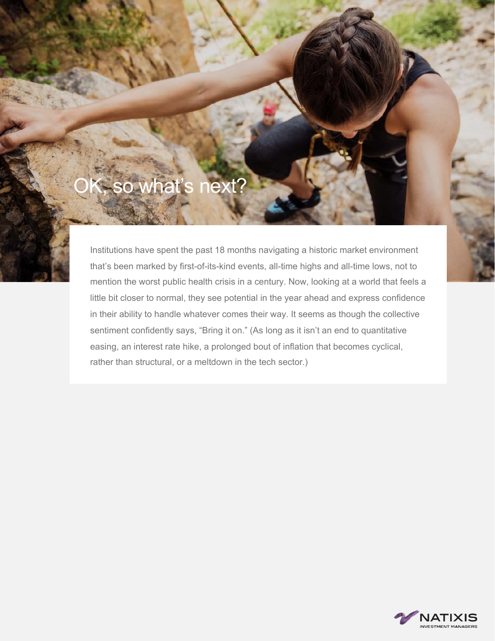## OK, so what's next?

Institutions have spent the past 18 months navigating a historic market environment that's been marked by first-of-its-kind events, all-time highs and all-time lows, not to mention the worst public health crisis in a century. Now, looking at a world that feels a little bit closer to normal, they see potential in the year ahead and express confidence in their ability to handle whatever comes their way. It seems as though the collective sentiment confidently says, "Bring it on." (As long as it isn't an end to quantitative easing, an interest rate hike, a prolonged bout of inflation that becomes cyclical, rather than structural, or a meltdown in the tech sector.)

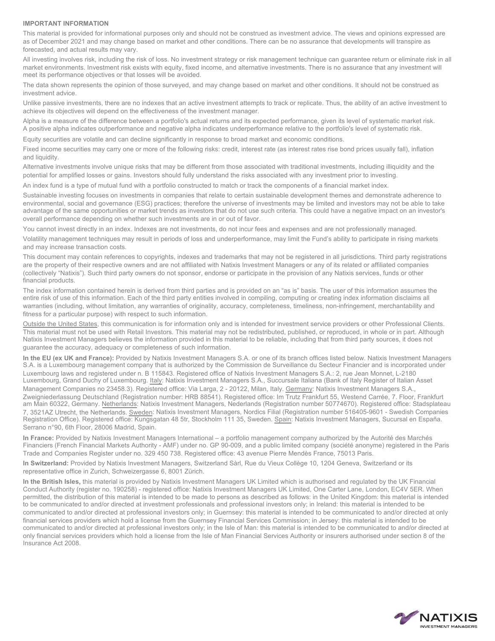#### **IMPORTANT INFORMATION**

This material is provided for informational purposes only and should not be construed as investment advice. The views and opinions expressed are as of December 2021 and may change based on market and other conditions. There can be no assurance that developments will transpire as forecasted, and actual results may vary.

All investing involves risk, including the risk of loss. No investment strategy or risk management technique can guarantee return or eliminate risk in all market environments. Investment risk exists with equity, fixed income, and alternative investments. There is no assurance that any investment will meet its performance objectives or that losses will be avoided.

The data shown represents the opinion of those surveyed, and may change based on market and other conditions. It should not be construed as investment advice.

Unlike passive investments, there are no indexes that an active investment attempts to track or replicate. Thus, the ability of an active investment to achieve its objectives will depend on the effectiveness of the investment manager.

Alpha is a measure of the difference between a portfolio's actual returns and its expected performance, given its level of systematic market risk. A positive alpha indicates outperformance and negative alpha indicates underperformance relative to the portfolio's level of systematic risk.

Equity securities are volatile and can decline significantly in response to broad market and economic conditions.

Fixed income securities may carry one or more of the following risks: credit, interest rate (as interest rates rise bond prices usually fall), inflation and liquidity.

Alternative investments involve unique risks that may be different from those associated with traditional investments, including illiquidity and the potential for amplified losses or gains. Investors should fully understand the risks associated with any investment prior to investing.

An index fund is a type of mutual fund with a portfolio constructed to match or track the components of a financial market index.

Sustainable investing focuses on investments in companies that relate to certain sustainable development themes and demonstrate adherence to environmental, social and governance (ESG) practices; therefore the universe of investments may be limited and investors may not be able to take advantage of the same opportunities or market trends as investors that do not use such criteria. This could have a negative impact on an investor's overall performance depending on whether such investments are in or out of favor.

You cannot invest directly in an index. Indexes are not investments, do not incur fees and expenses and are not professionally managed.

Volatility management techniques may result in periods of loss and underperformance, may limit the Fund's ability to participate in rising markets and may increase transaction costs.

This document may contain references to copyrights, indexes and trademarks that may not be registered in all jurisdictions. Third party registrations are the property of their respective owners and are not affiliated with Natixis Investment Managers or any of its related or affiliated companies (collectively "Natixis"). Such third party owners do not sponsor, endorse or participate in the provision of any Natixis services, funds or other financial products.

The index information contained herein is derived from third parties and is provided on an "as is" basis. The user of this information assumes the entire risk of use of this information. Each of the third party entities involved in compiling, computing or creating index information disclaims all warranties (including, without limitation, any warranties of originality, accuracy, completeness, timeliness, non-infringement, merchantability and fitness for a particular purpose) with respect to such information.

Outside the United States, this communication is for information only and is intended for investment service providers or other Professional Clients. This material must not be used with Retail Investors. This material may not be redistributed, published, or reproduced, in whole or in part. Although Natixis Investment Managers believes the information provided in this material to be reliable, including that from third party sources, it does not guarantee the accuracy, adequacy or completeness of such information.

**In the EU (ex UK and France):** Provided by Natixis Investment Managers S.A. or one of its branch offices listed below. Natixis Investment Managers S.A. is a Luxembourg management company that is authorized by the Commission de Surveillance du Secteur Financier and is incorporated under Luxembourg laws and registered under n. B 115843. Registered office of Natixis Investment Managers S.A.: 2, rue Jean Monnet, L-2180 Luxembourg, Grand Duchy of Luxembourg. Italy: Natixis Investment Managers S.A., Succursale Italiana (Bank of Italy Register of Italian Asset Management Companies no 23458.3). Registered office: Via Larga, 2 - 20122, Milan, Italy. Germany: Natixis Investment Managers S.A., Zweigniederlassung Deutschland (Registration number: HRB 88541). Registered office: Im Trutz Frankfurt 55, Westend Carrée, 7. Floor, Frankfurt am Main 60322, Germany. Netherlands: Natixis Investment Managers, Nederlands (Registration number 50774670). Registered office: Stadsplateau 7, 3521AZ Utrecht, the Netherlands. Sweden: Natixis Investment Managers, Nordics Filial (Registration number 516405-9601 - Swedish Companies Registration Office). Registered office: Kungsgatan 48 5tr, Stockholm 111 35, Sweden. Spain: Natixis Investment Managers, Sucursal en España. Serrano n°90, 6th Floor, 28006 Madrid, Spain.

**In France:** Provided by Natixis Investment Managers International – a portfolio management company authorized by the Autorité des Marchés Financiers (French Financial Markets Authority - AMF) under no. GP 90-009, and a public limited company (société anonyme) registered in the Paris Trade and Companies Register under no. 329 450 738. Registered office: 43 avenue Pierre Mendès France, 75013 Paris.

**In Switzerland:** Provided by Natixis Investment Managers, Switzerland Sàrl, Rue du Vieux Collège 10, 1204 Geneva, Switzerland or its representative office in Zurich, Schweizergasse 6, 8001 Zürich.

**In the British Isles,** this material is provided by Natixis Investment Managers UK Limited which is authorised and regulated by the UK Financial Conduct Authority (register no. 190258) - registered office: Natixis Investment Managers UK Limited, One Carter Lane, London, EC4V 5ER. When permitted, the distribution of this material is intended to be made to persons as described as follows: in the United Kingdom: this material is intended to be communicated to and/or directed at investment professionals and professional investors only; in Ireland: this material is intended to be communicated to and/or directed at professional investors only; in Guernsey: this material is intended to be communicated to and/or directed at only financial services providers which hold a license from the Guernsey Financial Services Commission; in Jersey: this material is intended to be communicated to and/or directed at professional investors only; in the Isle of Man: this material is intended to be communicated to and/or directed at only financial services providers which hold a license from the Isle of Man Financial Services Authority or insurers authorised under section 8 of the Insurance Act 2008.